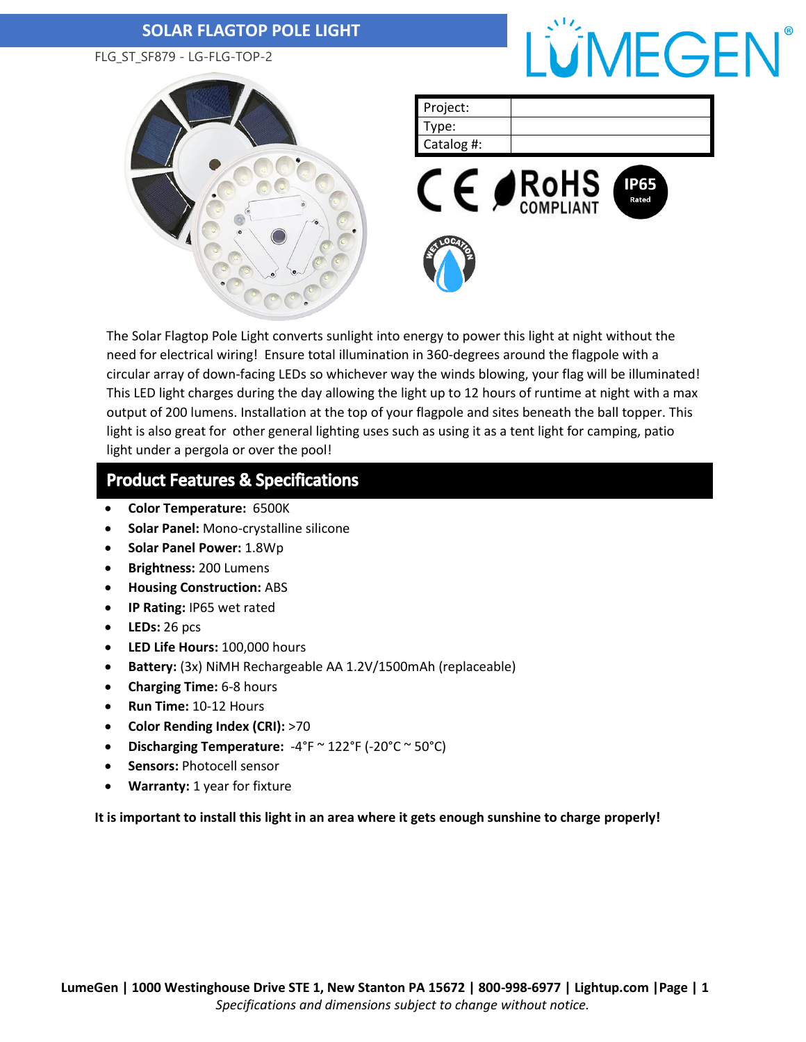### **SOLAR FLAGTOP POLE LIGHT**

FLG\_ST\_SF879 - LG-FLG-TOP-2





| Project:   |  |
|------------|--|
| Type:      |  |
| Catalog #: |  |
|            |  |



The Solar Flagtop Pole Light converts sunlight into energy to power this light at night without the need for electrical wiring! Ensure total illumination in 360-degrees around the flagpole with a circular array of down-facing LEDs so whichever way the winds blowing, your flag will be illuminated! This LED light charges during the day allowing the light up to 12 hours of runtime at night with a max output of 200 lumens. Installation at the top of your flagpole and sites beneath the ball topper. This light is also great for other general lighting uses such as using it as a tent light for camping, patio light under a pergola or over the pool!

### **Product Features & Specifications**

- **Color Temperature:** 6500K
- **Solar Panel:** Mono-crystalline silicone
- **Solar Panel Power:** 1.8Wp
- **Brightness:** 200 Lumens
- **Housing Construction:** ABS
- **IP Rating:** IP65 wet rated
- **LEDs:** 26 pcs
- **LED Life Hours:** 100,000 hours
- **Battery:** (3x) NiMH Rechargeable AA 1.2V/1500mAh (replaceable)
- **Charging Time:** 6-8 hours
- **Run Time:** 10-12 Hours
- **Color Rending Index (CRI):** >70
- **Discharging Temperature:** -4°F ~ 122°F (-20°C ~ 50°C)
- **Sensors:** Photocell sensor
- **Warranty:** 1 year for fixture

#### **It is important to install this light in an area where it gets enough sunshine to charge properly!**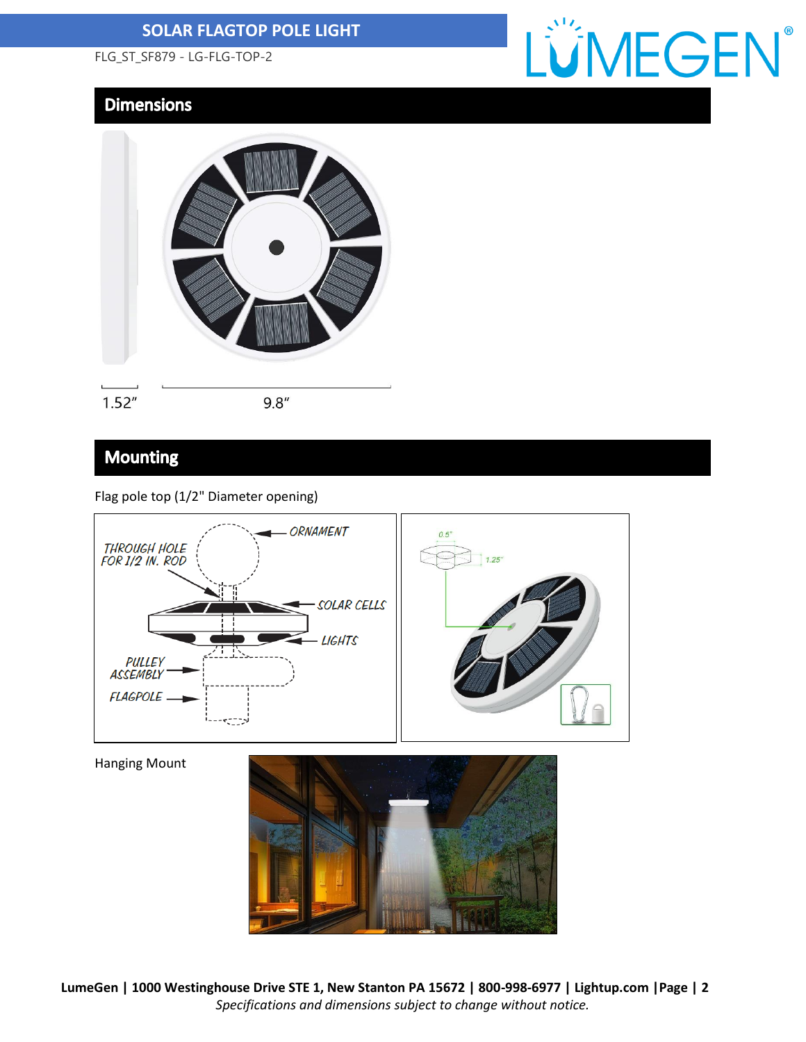## **SOLAR FLAGTOP POLE LIGHT**

FLG\_ST\_SF879 - LG-FLG-TOP-2

# LÜMEGEN®

# **Dimensions**



**Mounting** 

### Flag pole top (1/2" Diameter opening)



Hanging Mount



**LumeGen | 1000 Westinghouse Drive STE 1, New Stanton PA 15672 | 800-998-6977 | Lightup.com |Page | 2** *Specifications and dimensions subject to change without notice.*